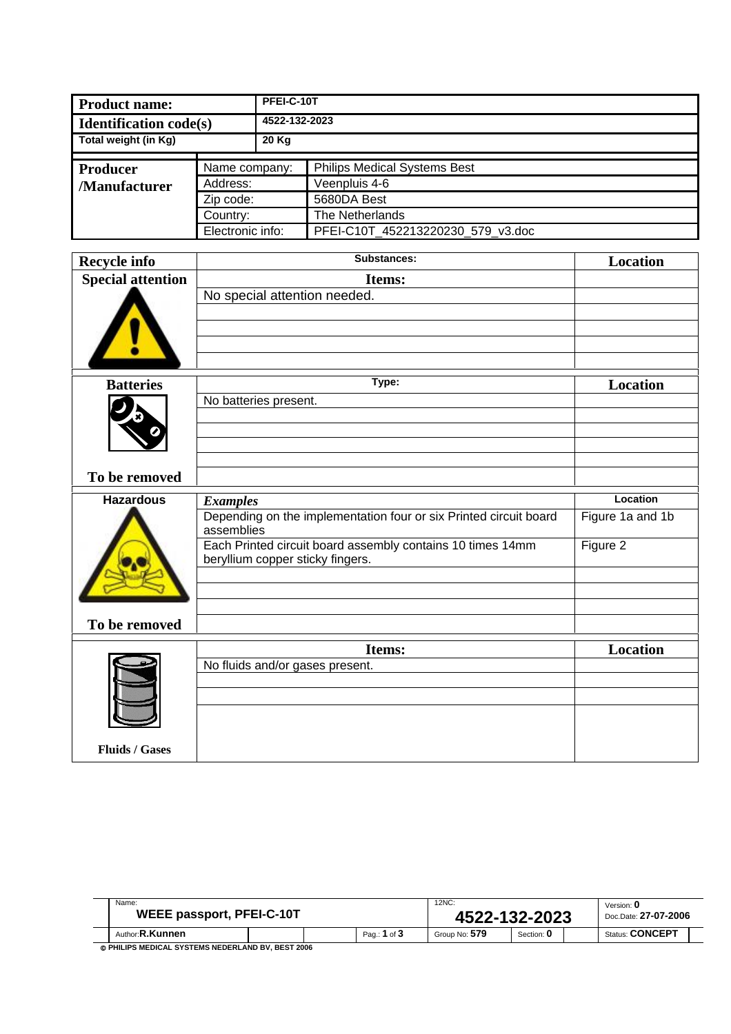| <b>Product name:</b>          |                           | PFEI-C-10T |                                     |  |  |  |  |
|-------------------------------|---------------------------|------------|-------------------------------------|--|--|--|--|
| <b>Identification code(s)</b> |                           |            | 4522-132-2023                       |  |  |  |  |
| Total weight (in Kg)          |                           | 20 Kg      |                                     |  |  |  |  |
| Producer                      | Name company:<br>Address: |            | <b>Philips Medical Systems Best</b> |  |  |  |  |
| <b>Manufacturer</b>           |                           |            | Veenpluis 4-6                       |  |  |  |  |
|                               | Zip code:                 |            | 5680DA Best                         |  |  |  |  |
| Country:                      |                           |            | The Netherlands                     |  |  |  |  |
|                               | Electronic info:          |            | PFEI-C10T 452213220230 579 v3.doc   |  |  |  |  |

| <b>Recycle info</b>      | Substances:                                                                                    | <b>Location</b>  |
|--------------------------|------------------------------------------------------------------------------------------------|------------------|
| <b>Special attention</b> | Items:                                                                                         |                  |
|                          | No special attention needed.                                                                   |                  |
|                          |                                                                                                |                  |
|                          |                                                                                                |                  |
|                          |                                                                                                |                  |
|                          |                                                                                                |                  |
| <b>Batteries</b>         | Type:                                                                                          | Location         |
|                          | No batteries present.                                                                          |                  |
|                          |                                                                                                |                  |
|                          |                                                                                                |                  |
|                          |                                                                                                |                  |
| To be removed            |                                                                                                |                  |
| <b>Hazardous</b>         | <b>Examples</b>                                                                                | Location         |
|                          | Depending on the implementation four or six Printed circuit board<br>assemblies                | Figure 1a and 1b |
|                          | Each Printed circuit board assembly contains 10 times 14mm<br>beryllium copper sticky fingers. | Figure 2         |
|                          |                                                                                                |                  |
|                          |                                                                                                |                  |
|                          |                                                                                                |                  |
| To be removed            |                                                                                                |                  |
|                          | Items:                                                                                         | Location         |
|                          | No fluids and/or gases present.                                                                |                  |
|                          |                                                                                                |                  |
|                          |                                                                                                |                  |
|                          |                                                                                                |                  |
| <b>Fluids / Gases</b>    |                                                                                                |                  |
|                          |                                                                                                |                  |

| Name:<br>WEEE passport, PFEI-C-10T |  |  |              | 12NC:<br>4522-132-2023 |            |  | Version: 0<br>Doc.Date: 27-07-2006 |
|------------------------------------|--|--|--------------|------------------------|------------|--|------------------------------------|
| Author: <b>R.Kunnen</b>            |  |  | Pag.: 1 of 3 | Group No: 579          | Section: 0 |  | Status: <b>CONCEPT</b>             |

© **PHILIPS MEDICAL SYSTEMS NEDERLAND BV, BEST 2006**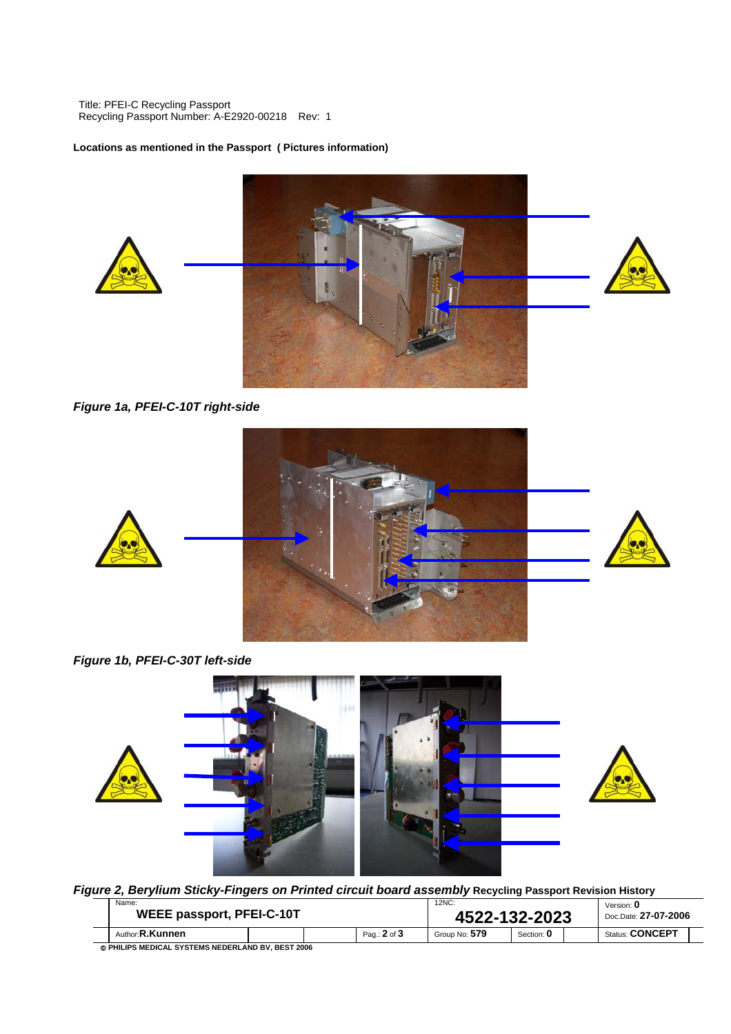Title: PFEI-C Recycling Passport Recycling Passport Number: A-E2920-00218 Rev: 1

#### **Locations as mentioned in the Passport ( Pictures information)**



*Figure 1a, PFEI-C-10T right-side*



*Figure 1b, PFEI-C-30T left-side*



*Figure 2, Berylium Sticky-Fingers on Printed circuit board assembly* **Recycling Passport Revision History** 

| Name:                   | <b>WEEE passport, PFEI-C-10T</b> |  |              | 12NC<br>4522-132-2023 |            |  | Version: 0<br>Doc.Date: 27-07-2006 |  |
|-------------------------|----------------------------------|--|--------------|-----------------------|------------|--|------------------------------------|--|
| Author: <b>R.Kunnen</b> |                                  |  | Pag.: 2 of 3 | Group No: 579         | Section: 0 |  | Status: <b>CONCEPT</b>             |  |
|                         |                                  |  |              |                       |            |  |                                    |  |

© **PHILIPS MEDICAL SYSTEMS NEDERLAND BV, BEST 2006**